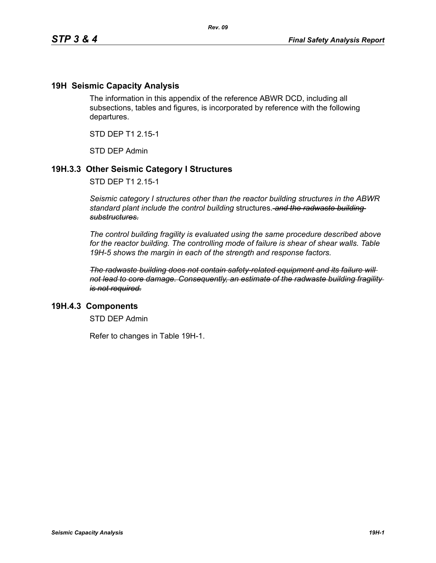### **19H Seismic Capacity Analysis**

The information in this appendix of the reference ABWR DCD, including all subsections, tables and figures, is incorporated by reference with the following departures.

STD DEP T1 2.15-1

STD DEP Admin

## **19H.3.3 Other Seismic Category I Structures**

STD DEP T1 2.15-1

*Seismic category I structures other than the reactor building structures in the ABWR standard plant include the control building* structures. *and the radwaste building substructures.*

*The control building fragility is evaluated using the same procedure described above for the reactor building. The controlling mode of failure is shear of shear walls. Table 19H-5 shows the margin in each of the strength and response factors.*

*The radwaste building does not contain safety-related equipment and its failure will not lead to core damage. Consequently, an estimate of the radwaste building fragility is not required.*

### **19H.4.3 Components**

STD DEP Admin

Refer to changes in Table 19H-1.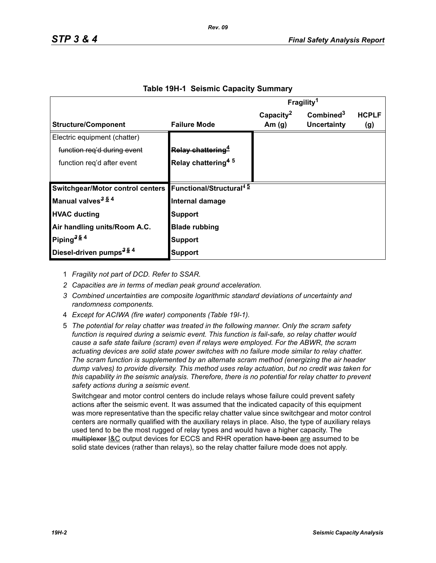|                                                                      |                                | Fragility <sup>1</sup> |                       |              |
|----------------------------------------------------------------------|--------------------------------|------------------------|-----------------------|--------------|
|                                                                      |                                | Capacity <sup>2</sup>  | Combined <sup>3</sup> | <b>HCPLF</b> |
| <b>Structure/Component</b>                                           | <b>Failure Mode</b>            | Am $(g)$               | Uncertainty           | (g)          |
| Electric equipment (chatter)                                         |                                |                        |                       |              |
| function reg'd during event                                          | Relay chattering <sup>4</sup>  |                        |                       |              |
| function reg'd after event                                           | Relay chattering <sup>45</sup> |                        |                       |              |
|                                                                      |                                |                        |                       |              |
| Switchgear/Motor control centers Functional/Structural <sup>45</sup> |                                |                        |                       |              |
| Manual valves <sup>3 54</sup>                                        | Internal damage                |                        |                       |              |
| <b>HVAC ducting</b>                                                  | <b>Support</b>                 |                        |                       |              |
| Air handling units/Room A.C.                                         | <b>Blade rubbing</b>           |                        |                       |              |
| Piping <sup>354</sup>                                                | Support                        |                        |                       |              |
| Diesel-driven pumps <sup>354</sup>                                   | Support                        |                        |                       |              |

#### **Table 19H-1 Seismic Capacity Summary**

1 *Fragility not part of DCD. Refer to SSAR.*

- *2 Capacities are in terms of median peak ground acceleration.*
- *3 Combined uncertainties are composite logarithmic standard deviations of uncertainty and randomness components.*
- 4 *Except for ACIWA (fire water) components (Table 19I-1).*
- 5 *The potential for relay chatter was treated in the following manner. Only the scram safety function is required during a seismic event. This function is fail-safe, so relay chatter would cause a safe state failure (scram) even if relays were employed. For the ABWR, the scram actuating devices are solid state power switches with no failure mode similar to relay chatter. The scram function is supplemented by an alternate scram method (energizing the air header dump valves) to provide diversity. This method uses relay actuation, but no credit was taken for this capability in the seismic analysis. Therefore, there is no potential for relay chatter to prevent safety actions during a seismic event.*

Switchgear and motor control centers do include relays whose failure could prevent safety actions after the seismic event. It was assumed that the indicated capacity of this equipment was more representative than the specific relay chatter value since switchgear and motor control centers are normally qualified with the auxiliary relays in place. Also, the type of auxiliary relays used tend to be the most rugged of relay types and would have a higher capacity. The multiplexer I&C output devices for ECCS and RHR operation have been are assumed to be solid state devices (rather than relays), so the relay chatter failure mode does not apply.